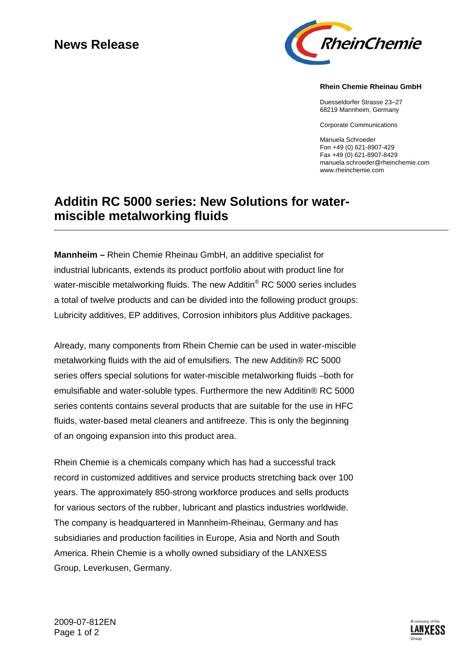## **News Release**



## **Rhein Chemie Rheinau GmbH**

Duesseldorfer Strasse 23–27 68219 Mannheim, Germany

Corporate Communications

Manuela Schroeder Fon +49 (0) 621-8907-429 Fax +49 (0) 621-8907-8429 manuela.schroeder@rheinchemie.com www.rheinchemie.com

## **Additin RC 5000 series: New Solutions for watermiscible metalworking fluids**

**Mannheim –** Rhein Chemie Rheinau GmbH, an additive specialist for industrial lubricants, extends its product portfolio about with product line for water-miscible metalworking fluids. The new Additin<sup>®</sup> RC 5000 series includes a total of twelve products and can be divided into the following product groups: Lubricity additives, EP additives, Corrosion inhibitors plus Additive packages.

Already, many components from Rhein Chemie can be used in water-miscible metalworking fluids with the aid of emulsifiers. The new Additin® RC 5000 series offers special solutions for water-miscible metalworking fluids –both for emulsifiable and water-soluble types. Furthermore the new Additin® RC 5000 series contents contains several products that are suitable for the use in HFC fluids, water-based metal cleaners and antifreeze. This is only the beginning of an ongoing expansion into this product area.

Rhein Chemie is a chemicals company which has had a successful track record in customized additives and service products stretching back over 100 years. The approximately 850-strong workforce produces and sells products for various sectors of the rubber, lubricant and plastics industries worldwide. The company is headquartered in Mannheim-Rheinau, Germany and has subsidiaries and production facilities in Europe, Asia and North and South America. Rhein Chemie is a wholly owned subsidiary of the LANXESS Group, Leverkusen, Germany.